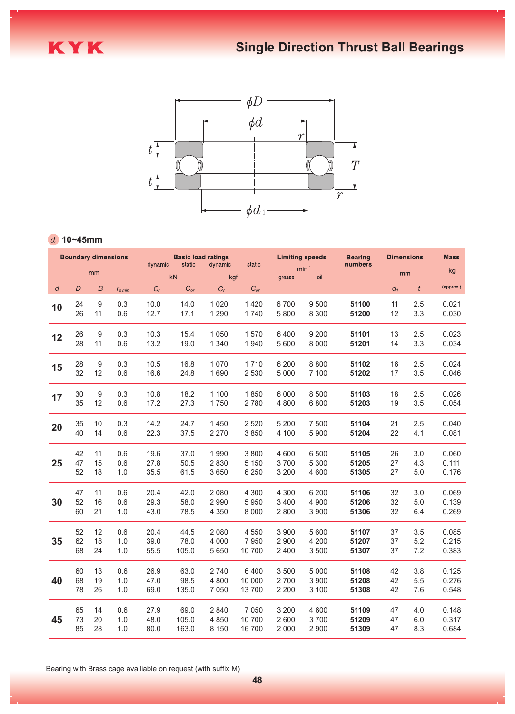



## **10~45mm**

| <b>Boundary dimensions</b> |          |          |                                | <b>Basic load ratings</b> |                   |                    |                    | <b>Limiting speeds</b> |                    | <b>Bearing</b> | <b>Dimensions</b> |            | <b>Mass</b>    |
|----------------------------|----------|----------|--------------------------------|---------------------------|-------------------|--------------------|--------------------|------------------------|--------------------|----------------|-------------------|------------|----------------|
|                            | mm       |          | static<br>dynamic<br><b>kN</b> |                           | dynamic<br>static |                    |                    | $min^{-1}$             | numbers            | mm             |                   | kg         |                |
|                            |          |          |                                |                           |                   | kgf                |                    | grease                 | oil                |                |                   |            | (approx.)      |
| $\boldsymbol{d}$           | D        | B        | $r_{s,min}$                    | $C_r$                     | $C_{or}$          | $C_r$              | $C_{or}$           |                        |                    |                | $d_1$             | t          |                |
| 10                         | 24<br>26 | 9<br>11  | 0.3<br>0.6                     | 10.0<br>12.7              | 14.0<br>17.1      | 1 0 2 0<br>1 2 9 0 | 1420<br>1740       | 6700<br>5 8 0 0        | 9 500<br>8 3 0 0   | 51100<br>51200 | 11<br>12          | 2.5<br>3.3 | 0.021<br>0.030 |
| 12                         | 26<br>28 | 9<br>11  | 0.3<br>0.6                     | 10.3<br>13.2              | 15.4<br>19.0      | 1 0 5 0<br>1 3 4 0 | 1570<br>1940       | 6400<br>5 600          | 9 200<br>8 0 0 0   | 51101<br>51201 | 13<br>14          | 2.5<br>3.3 | 0.023<br>0.034 |
| 15                         | 28<br>32 | 9<br>12  | 0.3<br>0.6                     | 10.5<br>16.6              | 16.8<br>24.8      | 1 0 7 0<br>1690    | 1710<br>2 5 3 0    | 6 200<br>5 0 0 0       | 8 8 0 0<br>7 100   | 51102<br>51202 | 16<br>17          | 2.5<br>3.5 | 0.024<br>0.046 |
| 17                         | 30<br>35 | 9<br>12  | 0.3<br>0.6                     | 10.8<br>17.2              | 18.2<br>27.3      | 1 100<br>1750      | 1850<br>2780       | 6 0 0 0<br>4 8 0 0     | 8 5 0 0<br>6800    | 51103<br>51203 | 18<br>19          | 2.5<br>3.5 | 0.026<br>0.054 |
| 20                         | 35<br>40 | 10<br>14 | 0.3<br>0.6                     | 14.2<br>22.3              | 24.7<br>37.5      | 1450<br>2 2 7 0    | 2 5 2 0<br>3 8 5 0 | 5 2 0 0<br>4 100       | 7 500<br>5 9 0 0   | 51104<br>51204 | 21<br>22          | 2.5<br>4.1 | 0.040<br>0.081 |
|                            |          |          |                                |                           |                   |                    |                    |                        |                    |                |                   |            |                |
|                            | 42       | 11       | 0.6                            | 19.6                      | 37.0              | 1990               | 3 8 0 0            | 4 600                  | 6 500              | 51105          | 26                | 3.0        | 0.060          |
| 25                         | 47<br>52 | 15<br>18 | 0.6<br>1.0                     | 27.8<br>35.5              | 50.5<br>61.5      | 2 8 3 0<br>3 6 5 0 | 5 1 5 0<br>6 2 5 0 | 3700<br>3 2 0 0        | 5 3 0 0<br>4 600   | 51205<br>51305 | 27<br>27          | 4.3<br>5.0 | 0.111<br>0.176 |
|                            | 47       | 11       | 0.6                            | 20.4                      | 42.0              | 2 0 8 0            | 4 3 0 0            | 4 3 0 0                | 6 200              | 51106          | 32                | 3.0        | 0.069          |
| 30                         | 52<br>60 | 16<br>21 | 0.6<br>1.0                     | 29.3<br>43.0              | 58.0<br>78.5      | 2 9 9 0<br>4 3 5 0 | 5950<br>8 0 0 0    | 3 4 0 0<br>2800        | 4 9 0 0<br>3 9 0 0 | 51206<br>51306 | 32<br>32          | 5.0<br>6.4 | 0.139<br>0.269 |
|                            | 52       | 12       | 0.6                            | 20.4                      | 44.5              | 2 0 8 0            | 4 5 5 0            | 3 9 0 0                | 5 600              | 51107          | 37                | 3.5        | 0.085          |
| 35                         | 62       | 18       | 1.0                            | 39.0                      | 78.0              | 4 0 0 0            | 7950               | 2 9 0 0                | 4 200              | 51207          | 37                | 5.2        | 0.215          |
|                            | 68       | 24       | 1.0                            | 55.5                      | 105.0             | 5 6 5 0            | 10 700             | 2 4 0 0                | 3 500              | 51307          | 37                | 7.2        | 0.383          |
|                            | 60       | 13       | 0.6                            | 26.9                      | 63.0              | 2 740              | 6400               | 3 500                  | 5 0 0 0            | 51108          | 42                | 3.8        | 0.125          |
| 40                         | 68<br>78 | 19<br>26 | 1.0<br>1.0                     | 47.0<br>69.0              | 98.5<br>135.0     | 4 8 0 0<br>7 0 5 0 | 10 000<br>13 700   | 2700<br>2 2 0 0        | 3 9 0 0<br>3 100   | 51208<br>51308 | 42<br>42          | 5.5<br>7.6 | 0.276<br>0.548 |
|                            |          |          |                                |                           |                   |                    |                    |                        |                    |                |                   |            |                |
|                            | 65       | 14       | 0.6                            | 27.9                      | 69.0              | 2 8 4 0            | 7 0 5 0            | 3 2 0 0                | 4 600              | 51109          | 47                | 4.0        | 0.148          |
| 45                         | 73<br>85 | 20<br>28 | 1.0<br>1.0                     | 48.0<br>80.0              | 105.0<br>163.0    | 4 8 5 0<br>8 1 5 0 | 10 700<br>16 700   | 2 600<br>2 0 0 0       | 3700<br>2 9 0 0    | 51209<br>51309 | 47<br>47          | 6.0<br>8.3 | 0.317<br>0.684 |

Bearing with Brass cage availiable on request (with suffix M)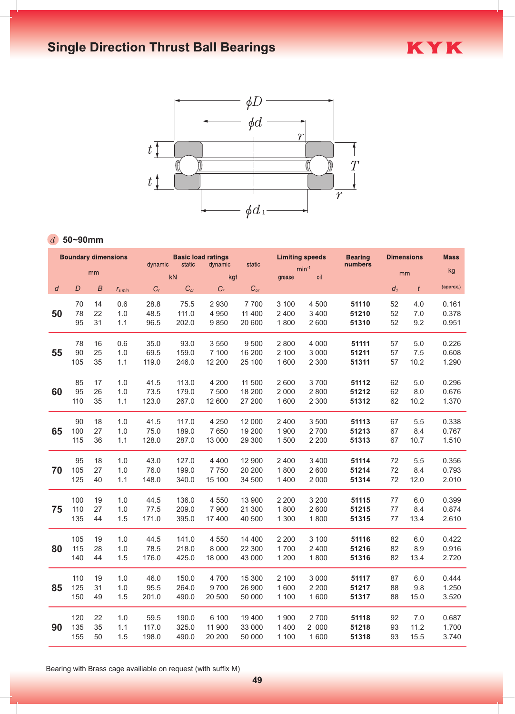

## **50~90mm**

| mm<br>kN<br>kgf<br>oil<br>grease<br>$\boldsymbol{B}$<br>$C_{or}$<br>$C_r$<br>$C_{or}$<br>$C_r$<br>$r_{s,min}$<br>2 9 3 0<br>7700<br>4 500<br>14<br>0.6<br>28.8<br>3 100<br>75.5<br>22<br>48.5<br>4 9 5 0<br>2 4 0 0<br>3 4 0 0<br>1.0<br>111.0<br>11 400 | kg<br>mm<br>(approx.)<br>$d_1$        |
|----------------------------------------------------------------------------------------------------------------------------------------------------------------------------------------------------------------------------------------------------------|---------------------------------------|
|                                                                                                                                                                                                                                                          |                                       |
|                                                                                                                                                                                                                                                          |                                       |
|                                                                                                                                                                                                                                                          | 52<br>0.161<br>51110<br>4.0           |
|                                                                                                                                                                                                                                                          | 52<br>7.0<br>0.378<br>51210           |
| 9850<br>31<br>202.0<br>20 600<br>1800<br>2 600<br>1.1<br>96.5                                                                                                                                                                                            | 52<br>9.2<br>0.951<br>51310           |
| 16<br>0.6<br>35.0<br>93.0<br>3 5 5 0<br>9 500<br>2 8 0 0<br>4 0 0 0                                                                                                                                                                                      | 0.226<br>51111<br>57<br>5.0           |
| 25<br>159.0<br>7 100<br>16 200<br>2 100<br>3 0 0 0<br>1.0<br>69.5                                                                                                                                                                                        | 7.5<br>0.608<br>51211<br>57           |
| 35<br>12 200<br>2 3 0 0<br>1.1<br>119.0<br>246.0<br>25 100<br>1 600                                                                                                                                                                                      | 57<br>10.2<br>1.290<br>51311          |
| 3700<br>17<br>113.0<br>4 200<br>11 500<br>2 600<br>1.0<br>41.5                                                                                                                                                                                           | 0.296<br>62<br>5.0<br>51112           |
| 26<br>18 200<br>2 8 0 0<br>1.0<br>73.5<br>179.0<br>7 500<br>2 0 0 0                                                                                                                                                                                      | 0.676<br>51212<br>62<br>8.0           |
| 35<br>12 600<br>27 200<br>2 3 0 0<br>1.1<br>123.0<br>267.0<br>1 600                                                                                                                                                                                      | 62<br>10.2<br>1.370<br>51312          |
| 3 5 0 0<br>18<br>117.0<br>4 2 5 0<br>12 000<br>2 4 0 0<br>1.0<br>41.5                                                                                                                                                                                    | 0.338<br>51113<br>67<br>5.5           |
| 27<br>1.0<br>75.0<br>189.0<br>7650<br>19 200<br>1 900<br>2700                                                                                                                                                                                            | 51213<br>67<br>8.4<br>0.767           |
| 36<br>128.0<br>287.0<br>13 000<br>29 300<br>1500<br>2 2 0 0<br>1.1                                                                                                                                                                                       | 10.7<br>1.510<br>51313<br>67          |
| 12 900<br>3 4 0 0<br>18<br>1.0<br>43.0<br>127.0<br>4 4 0 0<br>2 4 0 0                                                                                                                                                                                    | 0.356<br>51114<br>72<br>5.5           |
| 27<br>1.0<br>76.0<br>199.0<br>7750<br>20 200<br>1800<br>2 600                                                                                                                                                                                            | 72<br>8.4<br>0.793<br>51214           |
| 40<br>1.1<br>148.0<br>340.0<br>15 100<br>34 500<br>1400<br>2 0 0 0                                                                                                                                                                                       | 51314<br>72 12.0<br>2.010             |
| 19<br>4 5 5 0<br>13 900<br>3 2 0 0<br>1.0<br>44.5<br>136.0<br>2 2 0 0                                                                                                                                                                                    | 0.399<br>51115<br>77<br>6.0           |
| 27<br>77.5<br>2 600<br>1.0<br>209.0<br>7 9 0 0<br>21 300<br>1800                                                                                                                                                                                         | 77<br>0.874<br>51215<br>8.4           |
| 44<br>1.5<br>171.0<br>395.0<br>17400<br>40 500<br>1 3 0 0<br>1800                                                                                                                                                                                        | 77 13.4<br>2.610<br>51315             |
| 19<br>141.0<br>4 5 5 0<br>14 400<br>2 2 0 0<br>3 100<br>1.0<br>44.5                                                                                                                                                                                      | 0.422<br>51116<br>82<br>6.0           |
| 28<br>78.5<br>218.0<br>8 0 0 0<br>22 300<br>1700<br>2 4 0 0<br>1.0                                                                                                                                                                                       | 51216<br>82<br>8.9<br>0.916           |
| 1.5<br>176.0<br>425.0<br>18 000<br>43 000<br>1 200<br>1800<br>44                                                                                                                                                                                         | 2.720<br>51316<br>82<br>13.4          |
| 19<br>1.0<br>46.0<br>150.0<br>4 700<br>15 300<br>2 100<br>3 0 0 0                                                                                                                                                                                        | 51117<br>87<br>6.0<br>0.444           |
| 2 2 0 0<br>31<br>1.0<br>95.5<br>264.0<br>9700<br>26 900<br>1 600                                                                                                                                                                                         | 51217<br>88<br>9.8<br>1.250           |
| 49<br>1.5<br>201.0<br>490.0<br>20 500<br>50 000<br>1 600<br>1 1 0 0                                                                                                                                                                                      | 3.520<br>15.0<br>51317<br>88          |
| 22<br>2700<br>1.0<br>59.5<br>190.0<br>6 100<br>19 400<br>1900                                                                                                                                                                                            | 0.687<br>51118<br>92<br>7.0           |
| 35<br>11 900<br>1400<br>2 000<br>1.1<br>117.0<br>325.0<br>33 000                                                                                                                                                                                         | 93<br>11.2<br>1.700<br>51218          |
| 1.5<br>198.0<br>490.0<br>20 200<br>50<br>50 000<br>1 100                                                                                                                                                                                                 | 93<br>15.5<br>3.740<br>1 600<br>51318 |

Bearing with Brass cage availiable on request (with suffix M)